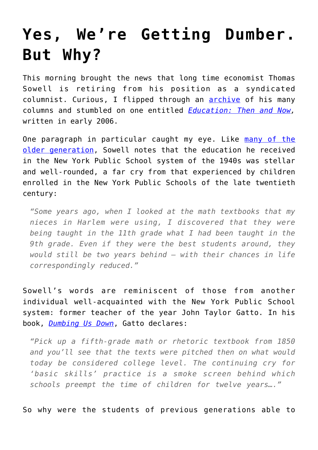## **[Yes, We're Getting Dumber.](https://intellectualtakeout.org/2016/12/yes-were-getting-dumber-but-why/) [But Why?](https://intellectualtakeout.org/2016/12/yes-were-getting-dumber-but-why/)**

This morning brought the news that long time economist Thomas Sowell is retiring from his position as a syndicated columnist. Curious, I flipped through an [archive](http://www.jewishworldreview.com/cols/sowell1.asp) of his many columns and stumbled on one entitled *[Education: Then and Now,](http://www.jewishworldreview.com/cols/sowell011206.asp)* written in early 2006.

One paragraph in particular caught my eye. Like [many of the](https://www.intellectualtakeout.org/blog/our-iqs-are-shrinking-lot-study-finds) [older generation,](https://www.intellectualtakeout.org/blog/our-iqs-are-shrinking-lot-study-finds) Sowell notes that the education he received in the New York Public School system of the 1940s was stellar and well-rounded, a far cry from that experienced by children enrolled in the New York Public Schools of the late twentieth century:

*"Some years ago, when I looked at the math textbooks that my nieces in Harlem were using, I discovered that they were being taught in the 11th grade what I had been taught in the 9th grade. Even if they were the best students around, they would still be two years behind — with their chances in life correspondingly reduced."*

Sowell's words are reminiscent of those from another individual well-acquainted with the New York Public School system: former teacher of the year John Taylor Gatto. In his book, *[Dumbing Us Down](https://www.amazon.com/gp/product/0865714487/ref=as_li_qf_sp_asin_il_tl?ie=UTF8&tag=intelltakeo0d-20&camp=1789&creative=9325&linkCode=as2&creativeASIN=0865714487&linkId=72fbc4fa927346eeb76a0d20b7d70f26)*, Gatto declares:

*"Pick up a fifth-grade math or rhetoric textbook from 1850 and you'll see that the texts were pitched then on what would today be considered college level. The continuing cry for 'basic skills' practice is a smoke screen behind which schools preempt the time of children for twelve years…."*

So why were the students of previous generations able to